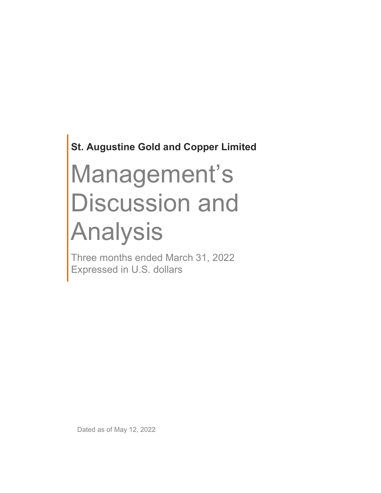St. Augustine Gold and Copper Limited

# Management's Discussion and Analysis

Three months ended March 31, 2022 Expressed in U.S. dollars

Dated as of May 12, 2022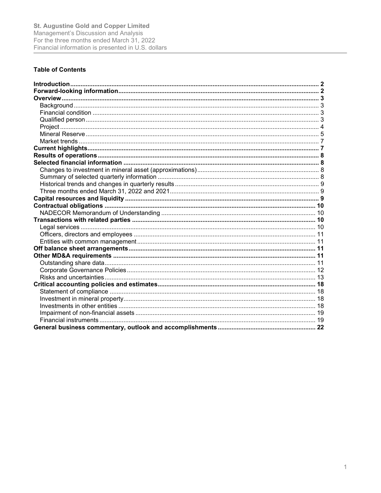# **Table of Contents**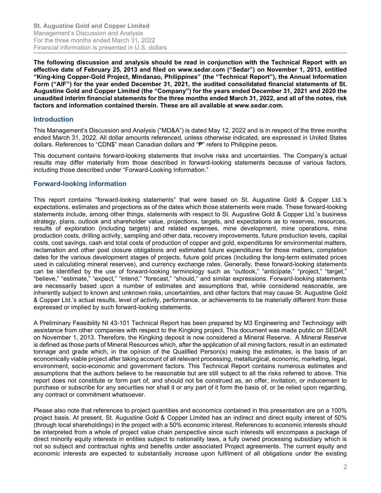The following discussion and analysis should be read in conjunction with the Technical Report with an effective date of February 25, 2013 and filed on www.sedar.com ("Sedar") on November 1, 2013, entitled "King-king Copper-Gold Project, Mindanao, Philippines" (the "Technical Report"), the Annual Information Form ("AIF") for the year ended December 31, 2021, the audited consolidated financial statements of St. Augustine Gold and Copper Limited (the "Company") for the years ended December 31, 2021 and 2020 the unaudited interim financial statements for the three months ended March 31, 2022, and all of the notes, risk factors and information contained therein. These are all available at www.sedar.com.

## **Introduction**

This Management's Discussion and Analysis ("MD&A") is dated May 12, 2022 and is in respect of the three months ended March 31, 2022. All dollar amounts referenced, unless otherwise indicated, are expressed in United States dollars. References to "CDN\$" mean Canadian dollars and "₱" refers to Philippine pesos.

This document contains forward-looking statements that involve risks and uncertainties. The Company's actual results may differ materially from those described in forward-looking statements because of various factors, including those described under "Forward-Looking Information."

#### Forward-looking information

This report contains "forward-looking statements" that were based on St. Augustine Gold & Copper Ltd.'s expectations, estimates and projections as of the dates which those statements were made. These forward-looking statements include, among other things, statements with respect to St. Augustine Gold & Copper Ltd.'s business strategy, plans, outlook and shareholder value, projections, targets, and expectations as to reserves, resources, results of exploration (including targets) and related expenses, mine development, mine operations, mine production costs, drilling activity, sampling and other data, recovery improvements, future production levels, capital costs, cost savings, cash and total costs of production of copper and gold, expenditures for environmental matters, reclamation and other post closure obligations and estimated future expenditures for those matters, completion dates for the various development stages of projects, future gold prices (including the long-term estimated prices used in calculating mineral reserves), and currency exchange rates. Generally, these forward-looking statements can be identified by the use of forward-looking terminology such as "outlook," "anticipate," "project," "target," "believe," "estimate," "expect," "intend," "forecast," "should," and similar expressions. Forward-looking statements are necessarily based upon a number of estimates and assumptions that, while considered reasonable, are inherently subject to known and unknown risks, uncertainties, and other factors that may cause St. Augustine Gold & Copper Ltd.'s actual results, level of activity, performance, or achievements to be materially different from those expressed or implied by such forward-looking statements.

A Preliminary Feasibility NI 43-101 Technical Report has been prepared by M3 Engineering and Technology with assistance from other companies with respect to the Kingking project. This document was made public on SEDAR on November 1, 2013. Therefore, the Kingking deposit is now considered a Mineral Reserve. A Mineral Reserve is defined as those parts of Mineral Resources which, after the application of all mining factors, result in an estimated tonnage and grade which, in the opinion of the Qualified Person(s) making the estimates, is the basis of an economically viable project after taking account of all relevant processing, metallurgical, economic, marketing, legal, environment, socio-economic and government factors. This Technical Report contains numerous estimates and assumptions that the authors believe to be reasonable but are still subject to all the risks referred to above. This report does not constitute or form part of, and should not be construed as, an offer, invitation, or inducement to purchase or subscribe for any securities nor shall it or any part of it form the basis of, or be relied upon regarding, any contract or commitment whatsoever.

Please also note that references to project quantities and economics contained in this presentation are on a 100% project basis. At present, St. Augustine Gold & Copper Limited has an indirect and direct equity interest of 50% (through local shareholdings) in the project with a 50% economic interest. References to economic interests should be interpreted from a whole of project value chain perspective since such interests will encompass a package of direct minority equity interests in entities subject to nationality laws, a fully owned processing subsidiary which is not so subject and contractual rights and benefits under associated Project agreements. The current equity and economic interests are expected to substantially increase upon fulfilment of all obligations under the existing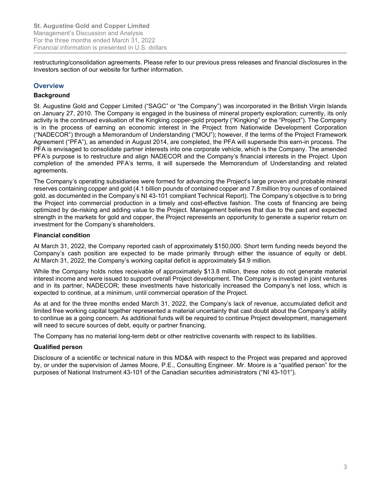restructuring/consolidation agreements. Please refer to our previous press releases and financial disclosures in the Investors section of our website for further information.

# **Overview**

## **Background**

St. Augustine Gold and Copper Limited ("SAGC" or "the Company") was incorporated in the British Virgin Islands on January 27, 2010. The Company is engaged in the business of mineral property exploration; currently, its only activity is the continued evaluation of the Kingking copper-gold property ("Kingking" or the "Project"). The Company is in the process of earning an economic interest in the Project from Nationwide Development Corporation ("NADECOR") through a Memorandum of Understanding ("MOU"); however, if the terms of the Project Framework Agreement ("PFA"), as amended in August 2014, are completed, the PFA will supersede this earn-in process. The PFA is envisaged to consolidate partner interests into one corporate vehicle, which is the Company. The amended PFA's purpose is to restructure and align NADECOR and the Company's financial interests in the Project. Upon completion of the amended PFA's terms, it will supersede the Memorandum of Understanding and related agreements.

The Company's operating subsidiaries were formed for advancing the Project's large proven and probable mineral reserves containing copper and gold (4.1 billion pounds of contained copper and 7.8 million troy ounces of contained gold, as documented in the Company's NI 43-101 compliant Technical Report). The Company's objective is to bring the Project into commercial production in a timely and cost-effective fashion. The costs of financing are being optimized by de-risking and adding value to the Project. Management believes that due to the past and expected strength in the markets for gold and copper, the Project represents an opportunity to generate a superior return on investment for the Company's shareholders.

#### Financial condition

At March 31, 2022, the Company reported cash of approximately \$150,000. Short term funding needs beyond the Company's cash position are expected to be made primarily through either the issuance of equity or debt. At March 31, 2022, the Company's working capital deficit is approximately \$4.9 million.

While the Company holds notes receivable of approximately \$13.8 million, these notes do not generate material interest income and were issued to support overall Project development. The Company is invested in joint ventures and in its partner, NADECOR; these investments have historically increased the Company's net loss, which is expected to continue, at a minimum, until commercial operation of the Project.

As at and for the three months ended March 31, 2022, the Company's lack of revenue, accumulated deficit and limited free working capital together represented a material uncertainty that cast doubt about the Company's ability to continue as a going concern. As additional funds will be required to continue Project development, management will need to secure sources of debt, equity or partner financing.

The Company has no material long-term debt or other restrictive covenants with respect to its liabilities.

#### Qualified person

Disclosure of a scientific or technical nature in this MD&A with respect to the Project was prepared and approved by, or under the supervision of James Moore, P.E., Consulting Engineer. Mr. Moore is a "qualified person" for the purposes of National Instrument 43-101 of the Canadian securities administrators ("NI 43-101").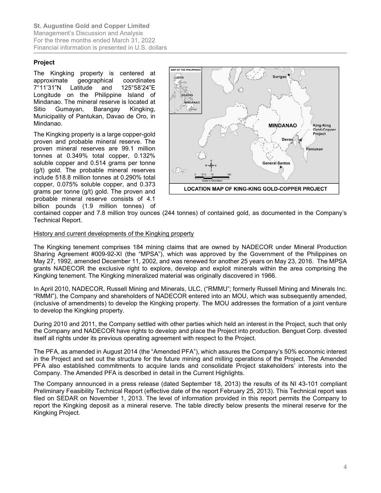## Project

The Kingking property is centered at approximate geographical coordinates 7°11'31"N Latitude and 125°58'24"E Longitude on the Philippine Island of Mindanao. The mineral reserve is located at Sitio Gumayan, Barangay Kingking, Municipality of Pantukan, Davao de Oro, in Mindanao.

The Kingking property is a large copper-gold proven and probable mineral reserve. The proven mineral reserves are 99.1 million tonnes at 0.349% total copper, 0.132% soluble copper and 0.514 grams per tonne (g/t) gold. The probable mineral reserves include 518.8 million tonnes at 0.290% total copper, 0.075% soluble copper, and 0.373 grams per tonne (g/t) gold. The proven and probable mineral reserve consists of 4.1 billion pounds (1.9 million tonnes) of



contained copper and 7.8 million troy ounces (244 tonnes) of contained gold, as documented in the Company's Technical Report.

#### History and current developments of the Kingking property

The Kingking tenement comprises 184 mining claims that are owned by NADECOR under Mineral Production Sharing Agreement #009-92-XI (the "MPSA"), which was approved by the Government of the Philippines on May 27, 1992, amended December 11, 2002, and was renewed for another 25 years on May 23, 2016. The MPSA grants NADECOR the exclusive right to explore, develop and exploit minerals within the area comprising the Kingking tenement. The Kingking mineralized material was originally discovered in 1966.

In April 2010, NADECOR, Russell Mining and Minerals, ULC, ("RMMU"; formerly Russell Mining and Minerals Inc. "RMMI"), the Company and shareholders of NADECOR entered into an MOU, which was subsequently amended, (inclusive of amendments) to develop the Kingking property. The MOU addresses the formation of a joint venture to develop the Kingking property.

During 2010 and 2011, the Company settled with other parties which held an interest in the Project, such that only the Company and NADECOR have rights to develop and place the Project into production. Benguet Corp. divested itself all rights under its previous operating agreement with respect to the Project.

The PFA, as amended in August 2014 (the "Amended PFA"), which assures the Company's 50% economic interest in the Project and set out the structure for the future mining and milling operations of the Project. The Amended PFA also established commitments to acquire lands and consolidate Project stakeholders' interests into the Company. The Amended PFA is described in detail in the Current Highlights.

The Company announced in a press release (dated September 18, 2013) the results of its NI 43-101 compliant Preliminary Feasibility Technical Report (effective date of the report February 25, 2013). This Technical report was filed on SEDAR on November 1, 2013. The level of information provided in this report permits the Company to report the Kingking deposit as a mineral reserve. The table directly below presents the mineral reserve for the Kingking Project.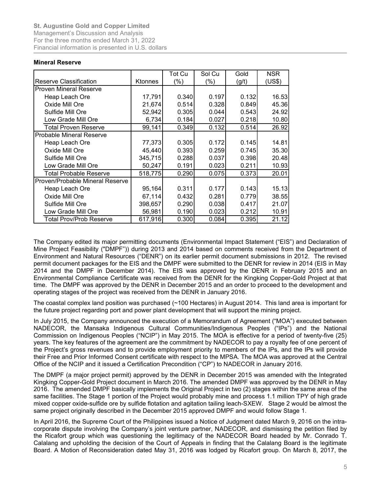#### Mineral Reserve

| <b>St. Augustine Gold and Copper Limited</b><br>Management's Discussion and Analysis |                  |                |                |                |                |
|--------------------------------------------------------------------------------------|------------------|----------------|----------------|----------------|----------------|
|                                                                                      |                  |                |                |                |                |
|                                                                                      |                  |                |                |                |                |
|                                                                                      |                  |                |                |                |                |
|                                                                                      |                  |                |                |                |                |
|                                                                                      |                  |                |                |                |                |
| For the three months ended March 31, 2022                                            |                  |                |                |                |                |
| Financial information is presented in U.S. dollars                                   |                  |                |                |                |                |
|                                                                                      |                  |                |                |                |                |
| <b>Mineral Reserve</b>                                                               |                  |                |                |                |                |
|                                                                                      |                  | <b>Tot Cu</b>  | Sol Cu         | Gold           | <b>NSR</b>     |
| Reserve Classification                                                               | Ktonnes          | (% )           | (%)            | (g/t)          | (US\$)         |
| <b>Proven Mineral Reserve</b>                                                        |                  |                |                |                |                |
| Heap Leach Ore                                                                       | 17,791           | 0.340          | 0.197          | 0.132          | 16.53          |
| Oxide Mill Ore                                                                       | 21,674           | 0.514          | 0.328          | 0.849          | 45.36          |
| Sulfide Mill Ore                                                                     | 52,942           | 0.305          | 0.044          | 0.543          | 24.92          |
| Low Grade Mill Ore                                                                   | 6,734            | 0.184          | 0.027          | 0.218          | 10.80          |
| <b>Total Proven Reserve</b>                                                          | 99,141           | 0.349          | 0.132          | 0.514          | 26.92          |
| <b>Probable Mineral Reserve</b>                                                      |                  |                |                |                |                |
| Heap Leach Ore                                                                       | 77,373           | 0.305          | 0.172          | 0.145          | 14.81          |
| Oxide Mill Ore                                                                       | 45,440           | 0.393          | 0.259          | 0.745          | 35.30          |
| Sulfide Mill Ore                                                                     | 345,715          | 0.288          | 0.037          | 0.398          | 20.48          |
|                                                                                      | 50,247           | 0.191          | 0.023          | 0.211          | 10.93          |
|                                                                                      |                  | 0.290          | 0.075          | 0.373          | 20.01          |
| Low Grade Mill Ore<br><b>Total Probable Reserve</b>                                  |                  |                |                |                |                |
| Proven/Probable Mineral Reserve                                                      | 518,775          |                |                |                |                |
|                                                                                      |                  |                |                |                |                |
| Heap Leach Ore<br>Oxide Mill Ore                                                     | 95,164<br>67,114 | 0.311<br>0.432 | 0.177<br>0.281 | 0.143<br>0.779 | 15.13<br>38.55 |
| Sulfide Mill Ore                                                                     | 398,657          | 0.290          | 0.038          | 0.417          | 21.07          |
| Low Grade Mill Ore                                                                   | 56,981           | 0.190          | 0.023          | 0.212          | 10.91          |

The Company edited its major permitting documents (Environmental Impact Statement ("EIS") and Declaration of Mine Project Feasibility ("DMPF")) during 2013 and 2014 based on comments received from the Department of Environment and Natural Resources ("DENR") on its earlier permit document submissions in 2012. The revised permit document packages for the EIS and the DMPF were submitted to the DENR for review in 2014 (EIS in May 2014 and the DMPF in December 2014). The EIS was approved by the DENR in February 2015 and an Environmental Compliance Certificate was received from the DENR for the Kingking Copper-Gold Project at that time. The DMPF was approved by the DENR in December 2015 and an order to proceed to the development and operating stages of the project was received from the DENR in January 2016.

The coastal complex land position was purchased (~100 Hectares) in August 2014. This land area is important for the future project regarding port and power plant development that will support the mining project.

In July 2015, the Company announced the execution of a Memorandum of Agreement ("MOA") executed between NADECOR, the Mansaka Indigenous Cultural Communities/Indigenous Peoples ("IPs") and the National Commission on Indigenous Peoples ("NCIP") in May 2015. The MOA is effective for a period of twenty-five (25) years. The key features of the agreement are the commitment by NADECOR to pay a royalty fee of one percent of the Project's gross revenues and to provide employment priority to members of the IPs, and the IPs will provide their Free and Prior Informed Consent certificate with respect to the MPSA. The MOA was approved at the Central Office of the NCIP and it issued a Certification Precondition ("CP") to NADECOR in January 2016.

The DMPF (a major project permit) approved by the DENR in December 2015 was amended with the Integrated Kingking Copper-Gold Project document in March 2016. The amended DMPF was approved by the DENR in May 2016. The amended DMPF basically implements the Original Project in two (2) stages within the same area of the same facilities. The Stage 1 portion of the Project would probably mine and process 1.1 million TPY of high grade mixed copper oxide-sulfide ore by sulfide flotation and agitation tailing leach-SXEW. Stage 2 would be almost the same project originally described in the December 2015 approved DMPF and would follow Stage 1.

In April 2016, the Supreme Court of the Philippines issued a Notice of Judgment dated March 9, 2016 on the intracorporate dispute involving the Company's joint venture partner, NADECOR, and dismissing the petition filed by the Ricafort group which was questioning the legitimacy of the NADECOR Board headed by Mr. Conrado T. Calalang and upholding the decision of the Court of Appeals in finding that the Calalang Board is the legitimate Board. A Motion of Reconsideration dated May 31, 2016 was lodged by Ricafort group. On March 8, 2017, the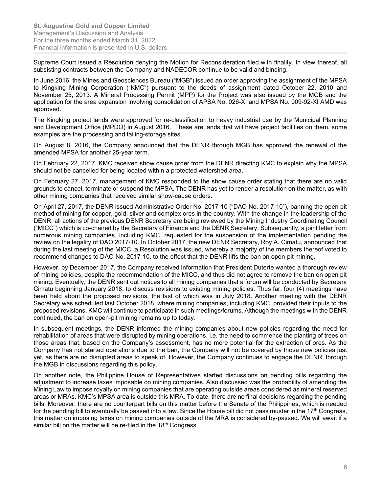Supreme Court issued a Resolution denying the Motion for Reconsideration filed with finality. In view thereof, all subsisting contracts between the Company and NADECOR continue to be valid and binding.

In June 2016, the Mines and Geosciences Bureau ("MGB") issued an order approving the assignment of the MPSA to Kingking Mining Corporation ("KMC") pursuant to the deeds of assignment dated October 22, 2010 and November 25, 2013. A Mineral Processing Permit (MPP) for the Project was also issued by the MGB and the application for the area expansion involving consolidation of APSA No. 026-XI and MPSA No. 009-92-XI AMD was approved.

The Kingking project lands were approved for re-classification to heavy industrial use by the Municipal Planning and Development Office (MPDO) in August 2016. These are lands that will have project facilities on them, some examples are the processing and tailing-storage sites.

On August 8, 2016, the Company announced that the DENR through MGB has approved the renewal of the amended MPSA for another 25-year term.

On February 22, 2017, KMC received show cause order from the DENR directing KMC to explain why the MPSA should not be cancelled for being located within a protected watershed area.

On February 27, 2017, management of KMC responded to the show cause order stating that there are no valid grounds to cancel, terminate or suspend the MPSA. The DENR has yet to render a resolution on the matter, as with other mining companies that received similar show-cause orders.

On April 27, 2017, the DENR issued Administrative Order No. 2017-10 ("DAO No. 2017-10"), banning the open pit method of mining for copper, gold, silver and complex ores in the country. With the change in the leadership of the DENR, all actions of the previous DENR Secretary are being reviewed by the Mining Industry Coordinating Council ("MICC") which is co-chaired by the Secretary of Finance and the DENR Secretary. Subsequently, a joint letter from numerous mining companies, including KMC, requested for the suspension of the implementation pending the review on the legality of DAO 2017-10. In October 2017, the new DENR Secretary, Roy A. Cimatu, announced that during the last meeting of the MICC, a Resolution was issued, whereby a majority of the members thereof voted to recommend changes to DAO No. 2017-10, to the effect that the DENR lifts the ban on open-pit mining.

However, by December 2017, the Company received information that President Duterte wanted a thorough review of mining policies, despite the recommendation of the MICC, and thus did not agree to remove the ban on open pit mining. Eventually, the DENR sent out notices to all mining companies that a forum will be conducted by Secretary Cimatu beginning January 2018, to discuss revisions to existing mining policies. Thus far, four (4) meetings have been held about the proposed revisions, the last of which was in July 2018. Another meeting with the DENR Secretary was scheduled last October 2018, where mining companies, including KMC, provided their inputs to the proposed revisions. KMC will continue to participate in such meetings/forums. Although the meetings with the DENR continued, the ban on open-pit mining remains up to today.

In subsequent meetings, the DENR informed the mining companies about new policies regarding the need for rehabilitation of areas that were disrupted by mining operations, i.e. the need to commence the planting of trees on those areas that, based on the Company's assessment, has no more potential for the extraction of ores. As the Company has not started operations due to the ban, the Company will not be covered by those new policies just yet, as there are no disrupted areas to speak of. However, the Company continues to engage the DENR, through the MGB in discussions regarding this policy.

On another note, the Philippine House of Representatives started discussions on pending bills regarding the adjustment to increase taxes imposable on mining companies. Also discussed was the probability of amending the Mining Law to impose royalty on mining companies that are operating outside areas considered as mineral reserved areas or MRAs. KMC's MPSA area is outside this MRA. To-date, there are no final decisions regarding the pending bills. Moreover, there are no counterpart bills on this matter before the Senate of the Philippines, which is needed for the pending bill to eventually be passed into a law. Since the House bill did not pass muster in the  $17<sup>th</sup>$  Congress, this matter on imposing taxes on mining companies outside of the MRA is considered by-passed. We will await if a similar bill on the matter will be re-filed in the 18<sup>th</sup> Congress.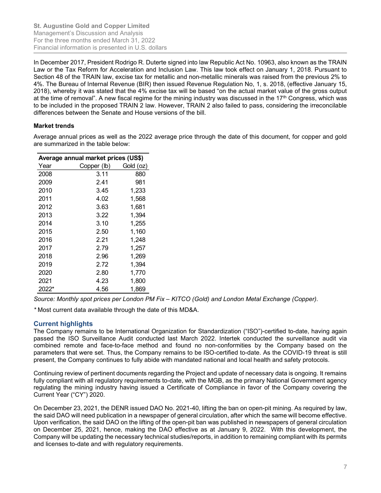In December 2017, President Rodrigo R. Duterte signed into law Republic Act No. 10963, also known as the TRAIN Law or the Tax Reform for Acceleration and Inclusion Law. This law took effect on January 1, 2018. Pursuant to Section 48 of the TRAIN law, excise tax for metallic and non-metallic minerals was raised from the previous 2% to 4%. The Bureau of Internal Revenue (BIR) then issued Revenue Regulation No, 1, s. 2018, (effective January 15, 2018), whereby it was stated that the 4% excise tax will be based "on the actual market value of the gross output at the time of removal". A new fiscal regime for the mining industry was discussed in the 17<sup>th</sup> Congress, which was to be included in the proposed TRAIN 2 law. However, TRAIN 2 also failed to pass, considering the irreconcilable differences between the Senate and House versions of the bill. L. Augustine Gold and Copper Limited<br>
anargement's Discussion and Analysis<br>
The three months ended March 31, 2022<br>
The three months ended March 31, 2022<br>
December 2017, President Rodrigo R. Duterte signed into law Republi 20. Augustine Gold and Copper Limited<br>
anagement's Discussion and Analysis<br>
2012 mancial information is presented in U.S. dollars<br>
2017 December 2017, President Rodrigo R. Duterte signed into law Republic Act No. 10963, a 2011 and the moment of Discussion and Analysis<br>
anagement's Discussion and Analysis<br>
anagement's Discussion and Analysis<br>
anagement's Discussion and Analysis<br>
December 2017, President Rodrigo R. Duterte signed into law Re mancial information is presented in U.S. dollars<br>
December 2017, President Rodrigo R. Duterte signed into law Republic Act No. 10963, also knows<br>
awo or the Tax Reform for Acceleration and Inclusion Law. This law took eff December 2017, President Rodrigo R. Duterte signed into law Republic Act No. 10963, also know or the Tax Reform for Acceleration and Inclusion Law. This law took effect on January 1, 2<br>
section 48 of the TRAN law, excise December 2017, President Rodrigo R. Dulette signed into law Republic Act too. 10963, also knot<br>aw or the Tax Reform for Acceleration and Inclusion Law. This law took effect on January 1, 2<br>ection 48 of the TRAIN law, exci

# Market trends

Average annual prices as well as the 2022 average price through the date of this document, for copper and gold are summarized in the table below:

| <b>Market trends</b>      |                                                            |           | aw or the Tax Reform for Acceleration and Inclusion Law. This law took effect on January 1, 2.<br>Section 48 of the TRAIN law, excise tax for metallic and non-metallic minerals was raised from th<br>%. The Bureau of Internal Revenue (BIR) then issued Revenue Regulation No, 1, s. 2018, (effe<br>018), whereby it was stated that the 4% excise tax will be based "on the actual market value of<br>it the time of removal". A new fiscal regime for the mining industry was discussed in the 17 <sup>th</sup> Con<br>o be included in the proposed TRAIN 2 law. However, TRAIN 2 also failed to pass, considering<br>lifferences between the Senate and House versions of the bill.<br>verage annual prices as well as the 2022 average price through the date of this document, for |
|---------------------------|------------------------------------------------------------|-----------|---------------------------------------------------------------------------------------------------------------------------------------------------------------------------------------------------------------------------------------------------------------------------------------------------------------------------------------------------------------------------------------------------------------------------------------------------------------------------------------------------------------------------------------------------------------------------------------------------------------------------------------------------------------------------------------------------------------------------------------------------------------------------------------------|
|                           | are summarized in the table below:                         |           |                                                                                                                                                                                                                                                                                                                                                                                                                                                                                                                                                                                                                                                                                                                                                                                             |
|                           | Average annual market prices (US\$)                        |           |                                                                                                                                                                                                                                                                                                                                                                                                                                                                                                                                                                                                                                                                                                                                                                                             |
| Year                      | Copper (lb)                                                | Gold (oz) |                                                                                                                                                                                                                                                                                                                                                                                                                                                                                                                                                                                                                                                                                                                                                                                             |
| 2008                      | 3.11                                                       | 880       |                                                                                                                                                                                                                                                                                                                                                                                                                                                                                                                                                                                                                                                                                                                                                                                             |
| 2009                      | 2.41                                                       | 981       |                                                                                                                                                                                                                                                                                                                                                                                                                                                                                                                                                                                                                                                                                                                                                                                             |
| 2010                      | 3.45                                                       | 1,233     |                                                                                                                                                                                                                                                                                                                                                                                                                                                                                                                                                                                                                                                                                                                                                                                             |
| 2011                      | 4.02                                                       | 1,568     |                                                                                                                                                                                                                                                                                                                                                                                                                                                                                                                                                                                                                                                                                                                                                                                             |
| 2012                      | 3.63                                                       | 1,681     |                                                                                                                                                                                                                                                                                                                                                                                                                                                                                                                                                                                                                                                                                                                                                                                             |
| 2013                      | 3.22                                                       | 1,394     |                                                                                                                                                                                                                                                                                                                                                                                                                                                                                                                                                                                                                                                                                                                                                                                             |
| 2014                      | 3.10                                                       | 1,255     |                                                                                                                                                                                                                                                                                                                                                                                                                                                                                                                                                                                                                                                                                                                                                                                             |
| 2015                      | 2.50                                                       | 1,160     |                                                                                                                                                                                                                                                                                                                                                                                                                                                                                                                                                                                                                                                                                                                                                                                             |
| 2016                      | 2.21                                                       | 1,248     |                                                                                                                                                                                                                                                                                                                                                                                                                                                                                                                                                                                                                                                                                                                                                                                             |
| 2017                      | 2.79                                                       | 1,257     |                                                                                                                                                                                                                                                                                                                                                                                                                                                                                                                                                                                                                                                                                                                                                                                             |
| 2018                      | 2.96                                                       | 1,269     |                                                                                                                                                                                                                                                                                                                                                                                                                                                                                                                                                                                                                                                                                                                                                                                             |
| 2019                      | 2.72                                                       | 1,394     |                                                                                                                                                                                                                                                                                                                                                                                                                                                                                                                                                                                                                                                                                                                                                                                             |
| 2020                      | 2.80                                                       | 1,770     |                                                                                                                                                                                                                                                                                                                                                                                                                                                                                                                                                                                                                                                                                                                                                                                             |
| 2021                      | 4.23                                                       | 1,800     |                                                                                                                                                                                                                                                                                                                                                                                                                                                                                                                                                                                                                                                                                                                                                                                             |
| 2022*                     | 4.56                                                       | 1,869     |                                                                                                                                                                                                                                                                                                                                                                                                                                                                                                                                                                                                                                                                                                                                                                                             |
|                           |                                                            |           | Source: Monthly spot prices per London PM Fix – KITCO (Gold) and London Metal Exchange (Co                                                                                                                                                                                                                                                                                                                                                                                                                                                                                                                                                                                                                                                                                                  |
| <b>Current highlights</b> | Most current data available through the date of this MD&A. |           |                                                                                                                                                                                                                                                                                                                                                                                                                                                                                                                                                                                                                                                                                                                                                                                             |
|                           |                                                            |           |                                                                                                                                                                                                                                                                                                                                                                                                                                                                                                                                                                                                                                                                                                                                                                                             |

Source: Monthly spot prices per London PM Fix – KITCO (Gold) and London Metal Exchange (Copper).

# Current highlights

The Company remains to be International Organization for Standardization ("ISO")-certified to-date, having again passed the ISO Surveillance Audit conducted last March 2022. Intertek conducted the surveillance audit via combined remote and face-to-face method and found no non-conformities by the Company based on the parameters that were set. Thus, the Company remains to be ISO-certified to-date. As the COVID-19 threat is still present, the Company continues to fully abide with mandated national and local health and safety protocols.

Continuing review of pertinent documents regarding the Project and update of necessary data is ongoing. It remains fully compliant with all regulatory requirements to-date, with the MGB, as the primary National Government agency regulating the mining industry having issued a Certificate of Compliance in favor of the Company covering the Current Year ("CY") 2020.

On December 23, 2021, the DENR issued DAO No. 2021-40, lifting the ban on open-pit mining. As required by law, the said DAO will need publication in a newspaper of general circulation, after which the same will become effective. Upon verification, the said DAO on the lifting of the open-pit ban was published in newspapers of general circulation on December 25, 2021, hence, making the DAO effective as at January 9, 2022. With this development, the Company will be updating the necessary technical studies/reports, in addition to remaining compliant with its permits and licenses to-date and with regulatory requirements.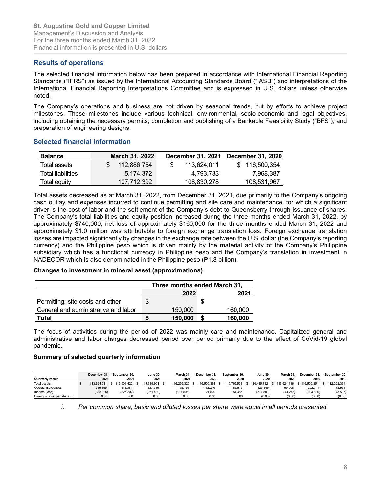# Results of operations

The selected financial information below has been prepared in accordance with International Financial Reporting Standards ("IFRS") as issued by the International Accounting Standards Board ("IASB") and interpretations of the International Financial Reporting Interpretations Committee and is expressed in U.S. dollars unless otherwise noted.

The Company's operations and business are not driven by seasonal trends, but by efforts to achieve project milestones. These milestones include various technical, environmental, socio-economic and legal objectives, including obtaining the necessary permits; completion and publishing of a Bankable Feasibility Study ("BFS"); and preparation of engineering designs. Augustine Gold and Copper Limited<br>
anagement's Discussion and Analysis<br>
or the three months ended March 31, 2022<br>
ancial information is presented in U.S. dollars<br>
ssults of operations<br>
ssults of operations<br>
ended financial Augustine Gold and Copper Limited<br>
In the three months enced March 31, 2022<br>
In the three months ended March 31, 2022<br>
Instantial information is presented in U.S. dollars<br>
Sesults of operations<br>
Instantial information belo

## Selected financial information

| <b>Balance</b>    | March 31, 2022 |             | December 31, 2021 December 31, 2020 |
|-------------------|----------------|-------------|-------------------------------------|
| Total assets      | 112.886.764    | 113.624.011 | \$116.500.354                       |
| Total liabilities | 5.174.372      | 4.793.733   | 7.968.387                           |
| Total equity      | 107,712,392    | 108,830,278 | 108,531,967                         |

Total assets decreased as at March 31, 2022, from December 31, 2021, due primarily to the Company's ongoing cash outlay and expenses incurred to continue permitting and site care and maintenance, for which a significant driver is the cost of labor and the settlement of the Company's debt to Queensberry through issuance of shares. The Company's total liabilities and equity position increased during the three months ended March 31, 2022, by approximately \$740,000; net loss of approximately \$160,000 for the three months ended March 31, 2022 and approximately \$1.0 million was attributable to foreign exchange translation loss. Foreign exchange translation losses are impacted significantly by changes in the exchange rate between the U.S. dollar (the Company's reporting currency) and the Philippine peso which is driven mainly by the material activity of the Company's Philippine subsidiary which has a functional currency in Philippine peso and the Company's translation in investment in NADECOR which is also denominated in the Philippine peso (₱1.8 billion). Augustine Gold and Copper Limited<br>
anagement's Discussion and Analysis<br>
anaroial information is energoined in U.S. dollars<br> **ssults of operations** is mean that the three months equity<br> **ssults of operations** is mean to the mber 31, 2021 December 31, 2020<br>
113,624,011 \$ 116,500,354<br>
4,783,733 7,968,387<br>
108,830,278 108,531,967<br>
cecember 31, 2021, due primarily to the Company's ongoing<br>
titing and site care and maintenance, for which a signif is elected financial information<br> **Balance** March 31, 2022 December 31, 2021 December 31, 2020<br>
Total assets  $$112,896,764$   $$118,620,310$   $$116,500,354$ <br>
Total assets  $$174,372$   $4,783,733$   $7,968,387$ <br>
Total equity  $107$ **Ealance March 31, 2022 December 31, 2021 December 31, 2020**<br>
Total assets \$112,886,764 \$113,624,011 \$166,00,534<br>
Total assets decreased as at March 31, 2022, from December 31, 2021, due primarily to the Company's ongoing not be considered the exchange in the company state is a september 31, September 31, September 31, September 31, September 31, September 31, September 31, September 31, September 31, September 31, September 31, September 3 The Company site buildities and equity position increased during the three months ended March 31, 2022, and<br>papproximately \$740,000; met loss of approximately \$ 116,0000 for the three months ended March 31, 2022 and<br>papsca Supproximately \$1.0 million was attributed to breign exchange tarslation loss. Foreign exchange tarslation<br>spersons are impacted eignificantly by changes in the exchange tars between the U.S. dollar (the Company's reportin Experimental signature of signature of the Philippine person with the material activity of the Company's reporting<br>substitution of the Fundrich and the Humber person with the internal activity of the Company's reporting<br>su

## Changes to investment in mineral asset (approximations)

|                                      | Three months ended March 31, |         |
|--------------------------------------|------------------------------|---------|
|                                      | 2022                         | 2021    |
| Permitting, site costs and other     |                              |         |
| General and administrative and labor | 150,000                      | 160,000 |
| Total                                | 150,000                      | 160,000 |

The focus of activities during the period of 2022 was mainly care and maintenance. Capitalized general and administrative and labor charges decreased period over period primarily due to the effect of CoVid-19 global pandemic.

## Summary of selected quarterly information

|                               | December 31. | September 30. | <b>June 30,</b> | March 31.   | December 31. | September 30. | <b>June 30.</b> | March 31.   | December 31. | September 30. |
|-------------------------------|--------------|---------------|-----------------|-------------|--------------|---------------|-----------------|-------------|--------------|---------------|
| <b>Quarterly result</b>       | 2021         | 2021          | 2021            | 2021        | 2020         | 2020          | 2020            | 2020        | 2019         | 2019          |
| Total assets                  | 113.624.011  | 113,601.422   | 115.319.901 \$  | 116.266.320 | 116.500.354  | 115.765.531   | 114.445.782 \$  | 113.524.116 | 116,500,354  | 112.322.334   |
| Operating expenses            | 236.195      | 113.384       | 127.589         | 92.753      | 132.240      | 86,519        | 123.346         | 69,008      | 202.744      | 72,938        |
| Income (loss)                 | (338, 025)   | (325, 202)    | (961, 430)      | (117,506)   | 21.579       | 54,385        | (214.583)       | (44, 243)   | (103, 800)   | (73, 515)     |
| Earnings (loss) per share (i) | 0.00         | 0.00          | 0.00            | 0.00        | 0.00         | 0.00          | (0.00)          | (0.00)      | (0.00)       | (0.00)        |

i. Per common share; basic and diluted losses per share were equal in all periods presented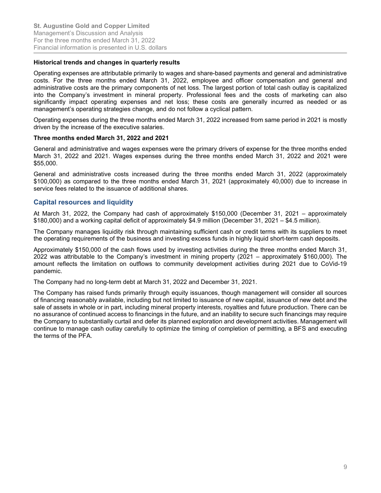#### Historical trends and changes in quarterly results

Operating expenses are attributable primarily to wages and share-based payments and general and administrative costs. For the three months ended March 31, 2022, employee and officer compensation and general and administrative costs are the primary components of net loss. The largest portion of total cash outlay is capitalized into the Company's investment in mineral property. Professional fees and the costs of marketing can also significantly impact operating expenses and net loss; these costs are generally incurred as needed or as management's operating strategies change, and do not follow a cyclical pattern.

Operating expenses during the three months ended March 31, 2022 increased from same period in 2021 is mostly driven by the increase of the executive salaries.

#### Three months ended March 31, 2022 and 2021

General and administrative and wages expenses were the primary drivers of expense for the three months ended March 31, 2022 and 2021. Wages expenses during the three months ended March 31, 2022 and 2021 were \$55,000.

General and administrative costs increased during the three months ended March 31, 2022 (approximately \$100,000) as compared to the three months ended March 31, 2021 (approximately 40,000) due to increase in service fees related to the issuance of additional shares.

## Capital resources and liquidity

At March 31, 2022, the Company had cash of approximately \$150,000 (December 31, 2021 – approximately \$180,000) and a working capital deficit of approximately \$4.9 million (December 31, 2021 – \$4.5 million).

The Company manages liquidity risk through maintaining sufficient cash or credit terms with its suppliers to meet the operating requirements of the business and investing excess funds in highly liquid short-term cash deposits.

Approximately \$150,000 of the cash flows used by investing activities during the three months ended March 31, 2022 was attributable to the Company's investment in mining property (2021 – approximately \$160,000). The amount reflects the limitation on outflows to community development activities during 2021 due to CoVid-19 pandemic.

The Company had no long-term debt at March 31, 2022 and December 31, 2021.

The Company has raised funds primarily through equity issuances, though management will consider all sources of financing reasonably available, including but not limited to issuance of new capital, issuance of new debt and the sale of assets in whole or in part, including mineral property interests, royalties and future production. There can be no assurance of continued access to financings in the future, and an inability to secure such financings may require the Company to substantially curtail and defer its planned exploration and development activities. Management will continue to manage cash outlay carefully to optimize the timing of completion of permitting, a BFS and executing the terms of the PFA.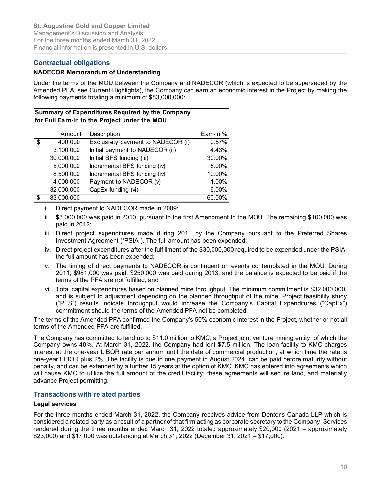## Contractual obligations

#### NADECOR Memorandum of Understanding

## Summary of Expenditures Required by the Company for Full Earn-in to the Project under the MOU

|                         |                                | <b>St. Augustine Gold and Copper Limited</b><br>Management's Discussion and Analysis                                                                                                                                                                                       |           |  |
|-------------------------|--------------------------------|----------------------------------------------------------------------------------------------------------------------------------------------------------------------------------------------------------------------------------------------------------------------------|-----------|--|
|                         |                                | For the three months ended March 31, 2022                                                                                                                                                                                                                                  |           |  |
|                         |                                | Financial information is presented in U.S. dollars                                                                                                                                                                                                                         |           |  |
|                         |                                |                                                                                                                                                                                                                                                                            |           |  |
|                         | <b>Contractual obligations</b> |                                                                                                                                                                                                                                                                            |           |  |
|                         |                                | <b>NADECOR Memorandum of Understanding</b>                                                                                                                                                                                                                                 |           |  |
|                         |                                | Amended PFA; see Current Highlights), the Company can earn an economic interest in the Project by making the<br>following payments totaling a minimum of \$83,000,000:<br>Summary of Expenditures Required by the Company<br>for Full Earn-in to the Project under the MOU |           |  |
|                         | Amount                         | Description                                                                                                                                                                                                                                                                | Earn-in % |  |
|                         | 400,000                        | Exclusivity payment to NADECOR (i)                                                                                                                                                                                                                                         | 0.57%     |  |
|                         |                                |                                                                                                                                                                                                                                                                            |           |  |
|                         | 3,100,000                      | Initial payment to NADECOR (ii)                                                                                                                                                                                                                                            | 4.43%     |  |
|                         | 30,000,000                     | Initial BFS funding (iii)                                                                                                                                                                                                                                                  | 30.00%    |  |
|                         | 5,000,000                      | Incremental BFS funding (iv)                                                                                                                                                                                                                                               | 5.00%     |  |
|                         | 8,500,000                      | Incremental BFS funding (iv)                                                                                                                                                                                                                                               | 10.00%    |  |
|                         | 4,000,000                      | Payment to NADECOR (v)                                                                                                                                                                                                                                                     | 1.00%     |  |
|                         | 32,000,000                     | CapEx funding (vi)                                                                                                                                                                                                                                                         | 9.00%     |  |
| $\mathfrak{S}$          | 83,000,000                     |                                                                                                                                                                                                                                                                            | 60.00%    |  |
| $\overline{\mathbf{s}}$ | Ť.                             | Direct payment to NADECOR made in 2009;                                                                                                                                                                                                                                    |           |  |

- ii. \$3,000,000 was paid in 2010, pursuant to the first Amendment to the MOU. The remaining \$100,000 was paid in 2012;
- iii. Direct project expenditures made during 2011 by the Company pursuant to the Preferred Shares Investment Agreement ("PSIA"). The full amount has been expended;
- iv. Direct project expenditures after the fulfillment of the \$30,000,000 required to be expended under the PSIA; the full amount has been expended;
- v. The timing of direct payments to NADECOR is contingent on events contemplated in the MOU. During 2011, \$981,000 was paid, \$250,000 was paid during 2013, and the balance is expected to be paid if the terms of the PFA are not fulfilled; and
- vi. Total capital expenditures based on planned mine throughput. The minimum commitment is \$32,000,000, and is subject to adjustment depending on the planned throughput of the mine. Project feasibility study ("PFS") results indicate throughput would increase the Company's Capital Expenditures ("CapEx") commitment should the terms of the Amended PFA not be completed.

The terms of the Amended PFA confirmed the Company's 50% economic interest in the Project, whether or not all terms of the Amended PFA are fulfilled.

The Company has committed to lend up to \$11.0 million to KMC, a Project joint venture mining entity, of which the Company owns 40%. At March 31, 2022, the Company had lent \$7.5 million. The loan facility to KMC charges interest at the one-year LIBOR rate per annum until the date of commercial production, at which time the rate is one-year LIBOR plus 2%. The facility is due in one payment in August 2024, can be paid before maturity without penalty, and can be extended by a further 15 years at the option of KMC. KMC has entered into agreements which will cause KMC to utilize the full amount of the credit facility; these agreements will secure land, and materially advance Project permitting.

## Transactions with related parties

#### Legal services

For the three months ended March 31, 2022, the Company receives advice from Dentons Canada LLP which is considered a related party as a result of a partner of that firm acting as corporate secretary to the Company. Services rendered during the three months ended March 31, 2022 totaled approximately \$20,000 (2021 – approximately \$23,000) and \$17,000 was outstanding at March 31, 2022 (December 31, 2021 – \$17,000).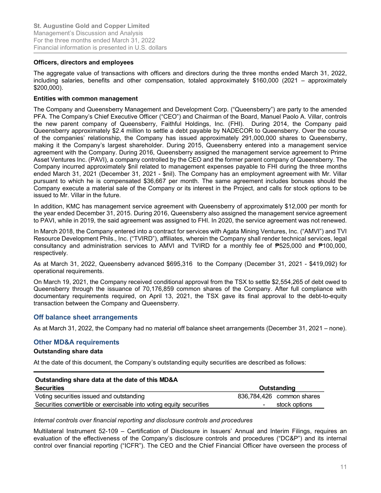#### Officers, directors and employees

The aggregate value of transactions with officers and directors during the three months ended March 31, 2022, including salaries, benefits and other compensation, totaled approximately \$160,000 (2021 – approximately \$200,000).

#### Entities with common management

The Company and Queensberry Management and Development Corp. ("Queensberry") are party to the amended PFA. The Company's Chief Executive Officer ("CEO") and Chairman of the Board, Manuel Paolo A. Villar, controls the new parent company of Queensberry, Faithful Holdings, Inc. (FHI). During 2014, the Company paid Queensberry approximately \$2.4 million to settle a debt payable by NADECOR to Queensberry. Over the course of the companies' relationship, the Company has issued approximately 291,000,000 shares to Queensberry, making it the Company's largest shareholder. During 2015, Queensberry entered into a management service agreement with the Company. During 2016, Queensberry assigned the management service agreement to Prime Asset Ventures Inc. (PAVI), a company controlled by the CEO and the former parent company of Queensberry. The Company incurred approximately \$nil related to management expenses payable to FHI during the three months ended March 31, 2021 (December 31, 2021 - \$nil). The Company has an employment agreement with Mr. Villar pursuant to which he is compensated \$36,667 per month. The same agreement includes bonuses should the Company execute a material sale of the Company or its interest in the Project, and calls for stock options to be issued to Mr. Villar in the future.

In addition, KMC has management service agreement with Queensberry of approximately \$12,000 per month for the year ended December 31, 2015. During 2016, Queensberry also assigned the management service agreement to PAVI, while in 2019, the said agreement was assigned to FHI. In 2020, the service agreement was not renewed.

In March 2018, the Company entered into a contract for services with Agata Mining Ventures, Inc. ("AMVI") and TVI Resource Development Phils., Inc. ("TVIRD"), affiliates, wherein the Company shall render technical services, legal consultancy and administration services to AMVI and TVIRD for a monthly fee of ₱525,000 and ₱100,000, respectively.

## Off balance sheet arrangements

## Other MD&A requirements

## Outstanding share data

| Resource Development Phils., Inc. ("TVIRD"), affiliates, wherein the Company shall render technical services, legal<br>consultancy and administration services to AMVI and TVIRD for a monthly fee of $\overline{P}525,000$ and $\overline{P}100,000$ ,<br>respectively.                                                                                                                      |                           |  |
|-----------------------------------------------------------------------------------------------------------------------------------------------------------------------------------------------------------------------------------------------------------------------------------------------------------------------------------------------------------------------------------------------|---------------------------|--|
| As at March 31, 2022, Queensberry advanced \$695,316 to the Company (December 31, 2021 - \$419,092) for<br>operational requirements.                                                                                                                                                                                                                                                          |                           |  |
| On March 19, 2021, the Company received conditional approval from the TSX to settle \$2,554,265 of debt owed to<br>Queensberry through the issuance of 70,176,859 common shares of the Company. After full compliance with<br>documentary requirements required, on April 13, 2021, the TSX gave its final approval to the debt-to-equity<br>transaction between the Company and Queensberry. |                           |  |
| Off balance sheet arrangements                                                                                                                                                                                                                                                                                                                                                                |                           |  |
| As at March 31, 2022, the Company had no material off balance sheet arrangements (December 31, 2021 – none).                                                                                                                                                                                                                                                                                  |                           |  |
| <b>Other MD&amp;A requirements</b>                                                                                                                                                                                                                                                                                                                                                            |                           |  |
| <b>Outstanding share data</b>                                                                                                                                                                                                                                                                                                                                                                 |                           |  |
| At the date of this document, the Company's outstanding equity securities are described as follows:                                                                                                                                                                                                                                                                                           |                           |  |
| Outstanding share data at the date of this MD&A                                                                                                                                                                                                                                                                                                                                               |                           |  |
| <b>Securities</b>                                                                                                                                                                                                                                                                                                                                                                             | <b>Outstanding</b>        |  |
| Voting securities issued and outstanding                                                                                                                                                                                                                                                                                                                                                      | 836,784,426 common shares |  |
| Securities convertible or exercisable into voting equity securities                                                                                                                                                                                                                                                                                                                           | stock options             |  |
| Internal controls over financial reporting and disclosure controls and procedures                                                                                                                                                                                                                                                                                                             |                           |  |
| Multilateral Instrument 52-109 - Certification of Disclosure in Issuers' Annual and Interim Filings, requires an<br>evaluation of the effectiveness of the Company's disclosure controls and procedures ("DC&P") and its internal<br>control over finencial reneating ("ICED"). The CEO and the Objet Finencial Officer hove cycrosopy the presence of                                        |                           |  |

#### Internal controls over financial reporting and disclosure controls and procedures

Multilateral Instrument 52-109 – Certification of Disclosure in Issuers' Annual and Interim Filings, requires an evaluation of the effectiveness of the Company's disclosure controls and procedures ("DC&P") and its internal control over financial reporting ("ICFR"). The CEO and the Chief Financial Officer have overseen the process of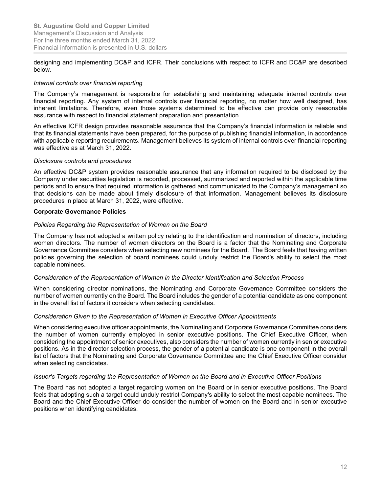designing and implementing DC&P and ICFR. Their conclusions with respect to ICFR and DC&P are described below.

#### Internal controls over financial reporting

The Company's management is responsible for establishing and maintaining adequate internal controls over financial reporting. Any system of internal controls over financial reporting, no matter how well designed, has inherent limitations. Therefore, even those systems determined to be effective can provide only reasonable assurance with respect to financial statement preparation and presentation.

An effective ICFR design provides reasonable assurance that the Company's financial information is reliable and that its financial statements have been prepared, for the purpose of publishing financial information, in accordance with applicable reporting requirements. Management believes its system of internal controls over financial reporting was effective as at March 31, 2022.

#### Disclosure controls and procedures

An effective DC&P system provides reasonable assurance that any information required to be disclosed by the Company under securities legislation is recorded, processed, summarized and reported within the applicable time periods and to ensure that required information is gathered and communicated to the Company's management so that decisions can be made about timely disclosure of that information. Management believes its disclosure procedures in place at March 31, 2022, were effective.

#### Corporate Governance Policies

#### Policies Regarding the Representation of Women on the Board

The Company has not adopted a written policy relating to the identification and nomination of directors, including women directors. The number of women directors on the Board is a factor that the Nominating and Corporate Governance Committee considers when selecting new nominees for the Board. The Board feels that having written policies governing the selection of board nominees could unduly restrict the Board's ability to select the most capable nominees.

#### Consideration of the Representation of Women in the Director Identification and Selection Process

When considering director nominations, the Nominating and Corporate Governance Committee considers the number of women currently on the Board. The Board includes the gender of a potential candidate as one component in the overall list of factors it considers when selecting candidates.

#### Consideration Given to the Representation of Women in Executive Officer Appointments

When considering executive officer appointments, the Nominating and Corporate Governance Committee considers the number of women currently employed in senior executive positions. The Chief Executive Officer, when considering the appointment of senior executives, also considers the number of women currently in senior executive positions. As in the director selection process, the gender of a potential candidate is one component in the overall list of factors that the Nominating and Corporate Governance Committee and the Chief Executive Officer consider when selecting candidates.

#### Issuer's Targets regarding the Representation of Women on the Board and in Executive Officer Positions

The Board has not adopted a target regarding women on the Board or in senior executive positions. The Board feels that adopting such a target could unduly restrict Company's ability to select the most capable nominees. The Board and the Chief Executive Officer do consider the number of women on the Board and in senior executive positions when identifying candidates.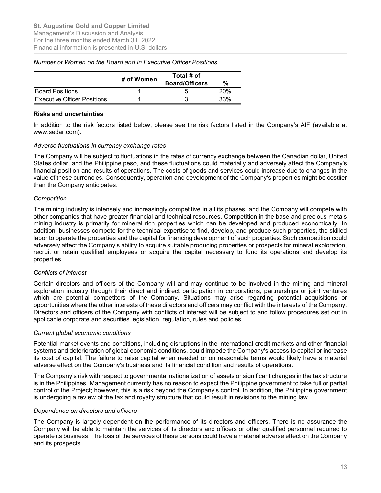| <b>St. Augustine Gold and Copper Limited</b><br>Management's Discussion and Analysis                                                                               |            |                                     |     |  |  |
|--------------------------------------------------------------------------------------------------------------------------------------------------------------------|------------|-------------------------------------|-----|--|--|
|                                                                                                                                                                    |            |                                     |     |  |  |
|                                                                                                                                                                    |            |                                     |     |  |  |
| For the three months ended March 31, 2022<br>Financial information is presented in U.S. dollars<br>Number of Women on the Board and in Executive Officer Positions | # of Women | Total # of<br><b>Board/Officers</b> | %   |  |  |
| <b>Board Positions</b>                                                                                                                                             |            | 5                                   | 20% |  |  |
| <b>Executive Officer Positions</b>                                                                                                                                 |            | 3                                   | 33% |  |  |
|                                                                                                                                                                    |            |                                     |     |  |  |
| <b>Risks and uncertainties</b><br>In addition to the risk factors listed below, please see the risk factors listed in the Company's AIF (available at              |            |                                     |     |  |  |

#### Number of Women on the Board and in Executive Officer Positions

#### Risks and uncertainties

#### Adverse fluctuations in currency exchange rates

The Company will be subject to fluctuations in the rates of currency exchange between the Canadian dollar, United States dollar, and the Philippine peso, and these fluctuations could materially and adversely affect the Company's financial position and results of operations. The costs of goods and services could increase due to changes in the value of these currencies. Consequently, operation and development of the Company's properties might be costlier than the Company anticipates.

#### **Competition**

The mining industry is intensely and increasingly competitive in all its phases, and the Company will compete with other companies that have greater financial and technical resources. Competition in the base and precious metals mining industry is primarily for mineral rich properties which can be developed and produced economically. In addition, businesses compete for the technical expertise to find, develop, and produce such properties, the skilled labor to operate the properties and the capital for financing development of such properties. Such competition could adversely affect the Company's ability to acquire suitable producing properties or prospects for mineral exploration, recruit or retain qualified employees or acquire the capital necessary to fund its operations and develop its properties.

#### Conflicts of interest

Certain directors and officers of the Company will and may continue to be involved in the mining and mineral exploration industry through their direct and indirect participation in corporations, partnerships or joint ventures which are potential competitors of the Company. Situations may arise regarding potential acquisitions or opportunities where the other interests of these directors and officers may conflict with the interests of the Company. Directors and officers of the Company with conflicts of interest will be subject to and follow procedures set out in applicable corporate and securities legislation, regulation, rules and policies.

#### Current global economic conditions

Potential market events and conditions, including disruptions in the international credit markets and other financial systems and deterioration of global economic conditions, could impede the Company's access to capital or increase its cost of capital. The failure to raise capital when needed or on reasonable terms would likely have a material adverse effect on the Company's business and its financial condition and results of operations.

The Company's risk with respect to governmental nationalization of assets or significant changes in the tax structure is in the Philippines. Management currently has no reason to expect the Philippine government to take full or partial control of the Project; however, this is a risk beyond the Company's control. In addition, the Philippine government is undergoing a review of the tax and royalty structure that could result in revisions to the mining law.

#### Dependence on directors and officers

The Company is largely dependent on the performance of its directors and officers. There is no assurance the Company will be able to maintain the services of its directors and officers or other qualified personnel required to operate its business. The loss of the services of these persons could have a material adverse effect on the Company and its prospects.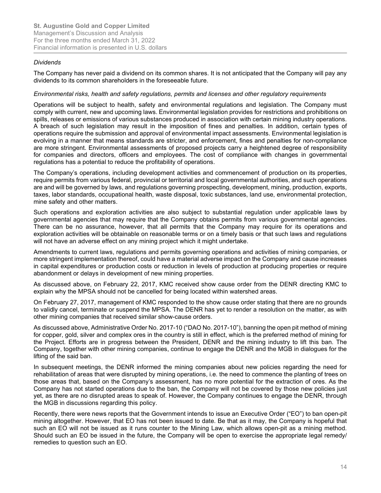#### Dividends

The Company has never paid a dividend on its common shares. It is not anticipated that the Company will pay any dividends to its common shareholders in the foreseeable future.

#### Environmental risks, health and safety regulations, permits and licenses and other regulatory requirements

Operations will be subject to health, safety and environmental regulations and legislation. The Company must comply with current, new and upcoming laws. Environmental legislation provides for restrictions and prohibitions on spills, releases or emissions of various substances produced in association with certain mining industry operations. A breach of such legislation may result in the imposition of fines and penalties. In addition, certain types of operations require the submission and approval of environmental impact assessments. Environmental legislation is evolving in a manner that means standards are stricter, and enforcement, fines and penalties for non-compliance are more stringent. Environmental assessments of proposed projects carry a heightened degree of responsibility for companies and directors, officers and employees. The cost of compliance with changes in governmental regulations has a potential to reduce the profitability of operations.

The Company's operations, including development activities and commencement of production on its properties, require permits from various federal, provincial or territorial and local governmental authorities, and such operations are and will be governed by laws, and regulations governing prospecting, development, mining, production, exports, taxes, labor standards, occupational health, waste disposal, toxic substances, land use, environmental protection, mine safety and other matters.

Such operations and exploration activities are also subject to substantial regulation under applicable laws by governmental agencies that may require that the Company obtains permits from various governmental agencies. There can be no assurance, however, that all permits that the Company may require for its operations and exploration activities will be obtainable on reasonable terms or on a timely basis or that such laws and regulations will not have an adverse effect on any mining project which it might undertake.

Amendments to current laws, regulations and permits governing operations and activities of mining companies, or more stringent implementation thereof, could have a material adverse impact on the Company and cause increases in capital expenditures or production costs or reduction in levels of production at producing properties or require abandonment or delays in development of new mining properties.

As discussed above, on February 22, 2017, KMC received show cause order from the DENR directing KMC to explain why the MPSA should not be cancelled for being located within watershed areas.

On February 27, 2017, management of KMC responded to the show cause order stating that there are no grounds to validly cancel, terminate or suspend the MPSA. The DENR has yet to render a resolution on the matter, as with other mining companies that received similar show-cause orders.

As discussed above, Administrative Order No. 2017-10 ("DAO No. 2017-10"), banning the open pit method of mining for copper, gold, silver and complex ores in the country is still in effect, which is the preferred method of mining for the Project. Efforts are in progress between the President, DENR and the mining industry to lift this ban. The Company, together with other mining companies, continue to engage the DENR and the MGB in dialogues for the lifting of the said ban.

In subsequent meetings, the DENR informed the mining companies about new policies regarding the need for rehabilitation of areas that were disrupted by mining operations, i.e. the need to commence the planting of trees on those areas that, based on the Company's assessment, has no more potential for the extraction of ores. As the Company has not started operations due to the ban, the Company will not be covered by those new policies just yet, as there are no disrupted areas to speak of. However, the Company continues to engage the DENR, through the MGB in discussions regarding this policy.

Recently, there were news reports that the Government intends to issue an Executive Order ("EO") to ban open-pit mining altogether. However, that EO has not been issued to date. Be that as it may, the Company is hopeful that such an EO will not be issued as it runs counter to the Mining Law, which allows open-pit as a mining method. Should such an EO be issued in the future, the Company will be open to exercise the appropriate legal remedy/ remedies to question such an EO.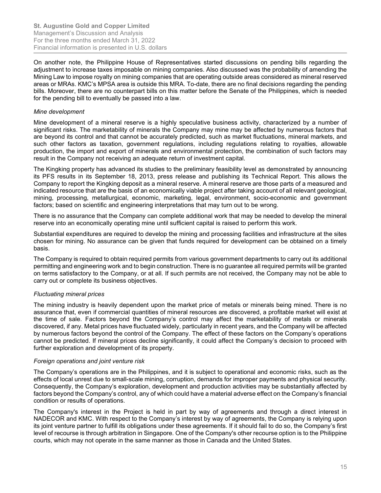On another note, the Philippine House of Representatives started discussions on pending bills regarding the adjustment to increase taxes imposable on mining companies. Also discussed was the probability of amending the Mining Law to impose royalty on mining companies that are operating outside areas considered as mineral reserved areas or MRAs. KMC's MPSA area is outside this MRA. To-date, there are no final decisions regarding the pending bills. Moreover, there are no counterpart bills on this matter before the Senate of the Philippines, which is needed for the pending bill to eventually be passed into a law.

#### Mine development

Mine development of a mineral reserve is a highly speculative business activity, characterized by a number of significant risks. The marketability of minerals the Company may mine may be affected by numerous factors that are beyond its control and that cannot be accurately predicted, such as market fluctuations, mineral markets, and such other factors as taxation, government regulations, including regulations relating to royalties, allowable production, the import and export of minerals and environmental protection, the combination of such factors may result in the Company not receiving an adequate return of investment capital.

The Kingking property has advanced its studies to the preliminary feasibility level as demonstrated by announcing its PFS results in its September 18, 2013, press release and publishing its Technical Report. This allows the Company to report the Kingking deposit as a mineral reserve. A mineral reserve are those parts of a measured and indicated resource that are the basis of an economically viable project after taking account of all relevant geological, mining, processing, metallurgical, economic, marketing, legal, environment, socio-economic and government factors; based on scientific and engineering interpretations that may turn out to be wrong.

There is no assurance that the Company can complete additional work that may be needed to develop the mineral reserve into an economically operating mine until sufficient capital is raised to perform this work.

Substantial expenditures are required to develop the mining and processing facilities and infrastructure at the sites chosen for mining. No assurance can be given that funds required for development can be obtained on a timely basis.

The Company is required to obtain required permits from various government departments to carry out its additional permitting and engineering work and to begin construction. There is no guarantee all required permits will be granted on terms satisfactory to the Company, or at all. If such permits are not received, the Company may not be able to carry out or complete its business objectives.

## Fluctuating mineral prices

The mining industry is heavily dependent upon the market price of metals or minerals being mined. There is no assurance that, even if commercial quantities of mineral resources are discovered, a profitable market will exist at the time of sale. Factors beyond the Company's control may affect the marketability of metals or minerals discovered, if any. Metal prices have fluctuated widely, particularly in recent years, and the Company will be affected by numerous factors beyond the control of the Company. The effect of these factors on the Company's operations cannot be predicted. If mineral prices decline significantly, it could affect the Company's decision to proceed with further exploration and development of its property.

#### Foreign operations and joint venture risk

The Company's operations are in the Philippines, and it is subject to operational and economic risks, such as the effects of local unrest due to small-scale mining, corruption, demands for improper payments and physical security. Consequently, the Company's exploration, development and production activities may be substantially affected by factors beyond the Company's control, any of which could have a material adverse effect on the Company's financial condition or results of operations.

The Company's interest in the Project is held in part by way of agreements and through a direct interest in NADECOR and KMC. With respect to the Company's interest by way of agreements, the Company is relying upon its joint venture partner to fulfill its obligations under these agreements. If it should fail to do so, the Company's first level of recourse is through arbitration in Singapore. One of the Company's other recourse option is to the Philippine courts, which may not operate in the same manner as those in Canada and the United States.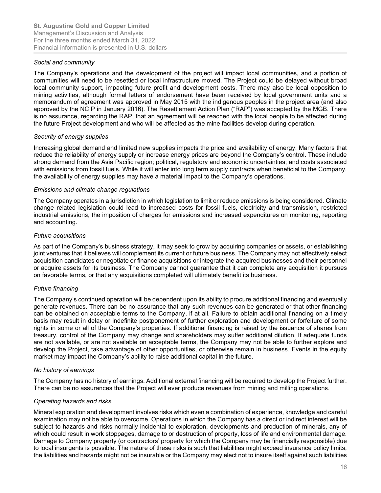#### Social and community

The Company's operations and the development of the project will impact local communities, and a portion of communities will need to be resettled or local infrastructure moved. The Project could be delayed without broad local community support, impacting future profit and development costs. There may also be local opposition to mining activities, although formal letters of endorsement have been received by local government units and a memorandum of agreement was approved in May 2015 with the indigenous peoples in the project area (and also approved by the NCIP in January 2016). The Resettlement Action Plan ("RAP") was accepted by the MGB. There is no assurance, regarding the RAP, that an agreement will be reached with the local people to be affected during the future Project development and who will be affected as the mine facilities develop during operation.

## Security of energy supplies

Increasing global demand and limited new supplies impacts the price and availability of energy. Many factors that reduce the reliability of energy supply or increase energy prices are beyond the Company's control. These include strong demand from the Asia Pacific region; political, regulatory and economic uncertainties; and costs associated with emissions from fossil fuels. While it will enter into long term supply contracts when beneficial to the Company, the availability of energy supplies may have a material impact to the Company's operations.

#### Emissions and climate change regulations

The Company operates in a jurisdiction in which legislation to limit or reduce emissions is being considered. Climate change related legislation could lead to increased costs for fossil fuels, electricity and transmission, restricted industrial emissions, the imposition of charges for emissions and increased expenditures on monitoring, reporting and accounting.

#### Future acquisitions

As part of the Company's business strategy, it may seek to grow by acquiring companies or assets, or establishing joint ventures that it believes will complement its current or future business. The Company may not effectively select acquisition candidates or negotiate or finance acquisitions or integrate the acquired businesses and their personnel or acquire assets for its business. The Company cannot guarantee that it can complete any acquisition it pursues on favorable terms, or that any acquisitions completed will ultimately benefit its business.

## Future financing

The Company's continued operation will be dependent upon its ability to procure additional financing and eventually generate revenues. There can be no assurance that any such revenues can be generated or that other financing can be obtained on acceptable terms to the Company, if at all. Failure to obtain additional financing on a timely basis may result in delay or indefinite postponement of further exploration and development or forfeiture of some rights in some or all of the Company's properties. If additional financing is raised by the issuance of shares from treasury, control of the Company may change and shareholders may suffer additional dilution. If adequate funds are not available, or are not available on acceptable terms, the Company may not be able to further explore and develop the Project, take advantage of other opportunities, or otherwise remain in business. Events in the equity market may impact the Company's ability to raise additional capital in the future.

#### No history of earnings

The Company has no history of earnings. Additional external financing will be required to develop the Project further. There can be no assurances that the Project will ever produce revenues from mining and milling operations.

## Operating hazards and risks

Mineral exploration and development involves risks which even a combination of experience, knowledge and careful examination may not be able to overcome. Operations in which the Company has a direct or indirect interest will be subject to hazards and risks normally incidental to exploration, developments and production of minerals, any of which could result in work stoppages, damage to or destruction of property, loss of life and environmental damage. Damage to Company property (or contractors' property for which the Company may be financially responsible) due to local insurgents is possible. The nature of these risks is such that liabilities might exceed insurance policy limits, the liabilities and hazards might not be insurable or the Company may elect not to insure itself against such liabilities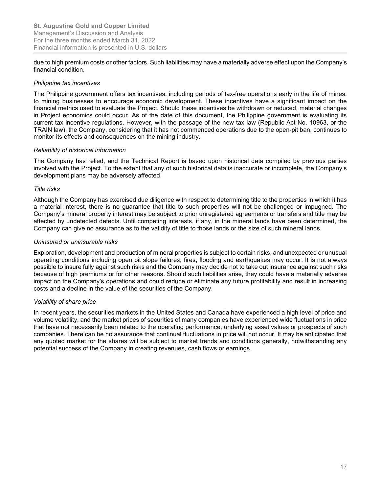due to high premium costs or other factors. Such liabilities may have a materially adverse effect upon the Company's financial condition.

#### Philippine tax incentives

The Philippine government offers tax incentives, including periods of tax-free operations early in the life of mines, to mining businesses to encourage economic development. These incentives have a significant impact on the financial metrics used to evaluate the Project. Should these incentives be withdrawn or reduced, material changes in Project economics could occur. As of the date of this document, the Philippine government is evaluating its current tax incentive regulations. However, with the passage of the new tax law (Republic Act No. 10963, or the TRAIN law), the Company, considering that it has not commenced operations due to the open-pit ban, continues to monitor its effects and consequences on the mining industry.

#### Reliability of historical information

The Company has relied, and the Technical Report is based upon historical data compiled by previous parties involved with the Project. To the extent that any of such historical data is inaccurate or incomplete, the Company's development plans may be adversely affected.

#### Title risks

Although the Company has exercised due diligence with respect to determining title to the properties in which it has a material interest, there is no guarantee that title to such properties will not be challenged or impugned. The Company's mineral property interest may be subject to prior unregistered agreements or transfers and title may be affected by undetected defects. Until competing interests, if any, in the mineral lands have been determined, the Company can give no assurance as to the validity of title to those lands or the size of such mineral lands.

#### Uninsured or uninsurable risks

Exploration, development and production of mineral properties is subject to certain risks, and unexpected or unusual operating conditions including open pit slope failures, fires, flooding and earthquakes may occur. It is not always possible to insure fully against such risks and the Company may decide not to take out insurance against such risks because of high premiums or for other reasons. Should such liabilities arise, they could have a materially adverse impact on the Company's operations and could reduce or eliminate any future profitability and result in increasing costs and a decline in the value of the securities of the Company.

## Volatility of share price

In recent years, the securities markets in the United States and Canada have experienced a high level of price and volume volatility, and the market prices of securities of many companies have experienced wide fluctuations in price that have not necessarily been related to the operating performance, underlying asset values or prospects of such companies. There can be no assurance that continual fluctuations in price will not occur. It may be anticipated that any quoted market for the shares will be subject to market trends and conditions generally, notwithstanding any potential success of the Company in creating revenues, cash flows or earnings.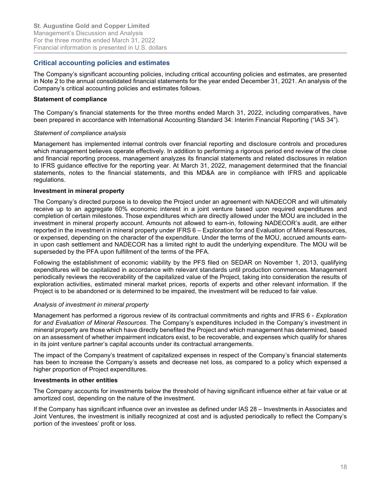# Critical accounting policies and estimates

The Company's significant accounting policies, including critical accounting policies and estimates, are presented in Note 2 to the annual consolidated financial statements for the year ended December 31, 2021. An analysis of the Company's critical accounting policies and estimates follows.

## Statement of compliance

The Company's financial statements for the three months ended March 31, 2022, including comparatives, have been prepared in accordance with International Accounting Standard 34: Interim Financial Reporting ("IAS 34").

#### Statement of compliance analysis

Management has implemented internal controls over financial reporting and disclosure controls and procedures which management believes operate effectively. In addition to performing a rigorous period end review of the close and financial reporting process, management analyzes its financial statements and related disclosures in relation to IFRS guidance effective for the reporting year. At March 31, 2022, management determined that the financial statements, notes to the financial statements, and this MD&A are in compliance with IFRS and applicable regulations.

#### Investment in mineral property

The Company's directed purpose is to develop the Project under an agreement with NADECOR and will ultimately receive up to an aggregate 60% economic interest in a joint venture based upon required expenditures and completion of certain milestones. Those expenditures which are directly allowed under the MOU are included in the investment in mineral property account. Amounts not allowed to earn-in, following NADECOR's audit, are either reported in the investment in mineral property under IFRS 6 – Exploration for and Evaluation of Mineral Resources, or expensed, depending on the character of the expenditure. Under the terms of the MOU, accrued amounts earnin upon cash settlement and NADECOR has a limited right to audit the underlying expenditure. The MOU will be superseded by the PFA upon fulfillment of the terms of the PFA.

Following the establishment of economic viability by the PFS filed on SEDAR on November 1, 2013, qualifying expenditures will be capitalized in accordance with relevant standards until production commences. Management periodically reviews the recoverability of the capitalized value of the Project, taking into consideration the results of exploration activities, estimated mineral market prices, reports of experts and other relevant information. If the Project is to be abandoned or is determined to be impaired, the investment will be reduced to fair value.

## Analysis of investment in mineral property

Management has performed a rigorous review of its contractual commitments and rights and IFRS 6 - Exploration for and Evaluation of Mineral Resources. The Company's expenditures included in the Company's investment in mineral property are those which have directly benefited the Project and which management has determined, based on an assessment of whether impairment indicators exist, to be recoverable, and expenses which qualify for shares in its joint venture partner's capital accounts under its contractual arrangements.

The impact of the Company's treatment of capitalized expenses in respect of the Company's financial statements has been to increase the Company's assets and decrease net loss, as compared to a policy which expensed a higher proportion of Project expenditures.

#### Investments in other entities

The Company accounts for investments below the threshold of having significant influence either at fair value or at amortized cost, depending on the nature of the investment.

If the Company has significant influence over an investee as defined under IAS 28 – Investments in Associates and Joint Ventures, the investment is initially recognized at cost and is adjusted periodically to reflect the Company's portion of the investees' profit or loss.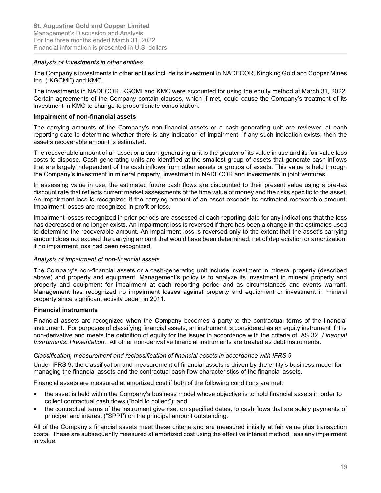#### Analysis of Investments in other entities

The Company's investments in other entities include its investment in NADECOR, Kingking Gold and Copper Mines Inc. ("KGCMI") and KMC.

The investments in NADECOR, KGCMI and KMC were accounted for using the equity method at March 31, 2022. Certain agreements of the Company contain clauses, which if met, could cause the Company's treatment of its investment in KMC to change to proportionate consolidation.

#### Impairment of non-financial assets

The carrying amounts of the Company's non-financial assets or a cash-generating unit are reviewed at each reporting date to determine whether there is any indication of impairment. If any such indication exists, then the asset's recoverable amount is estimated.

The recoverable amount of an asset or a cash-generating unit is the greater of its value in use and its fair value less costs to dispose. Cash generating units are identified at the smallest group of assets that generate cash inflows that are largely independent of the cash inflows from other assets or groups of assets. This value is held through the Company's investment in mineral property, investment in NADECOR and investments in joint ventures.

In assessing value in use, the estimated future cash flows are discounted to their present value using a pre-tax discount rate that reflects current market assessments of the time value of money and the risks specific to the asset. An impairment loss is recognized if the carrying amount of an asset exceeds its estimated recoverable amount. Impairment losses are recognized in profit or loss.

Impairment losses recognized in prior periods are assessed at each reporting date for any indications that the loss has decreased or no longer exists. An impairment loss is reversed if there has been a change in the estimates used to determine the recoverable amount. An impairment loss is reversed only to the extent that the asset's carrying amount does not exceed the carrying amount that would have been determined, net of depreciation or amortization, if no impairment loss had been recognized.

#### Analysis of impairment of non-financial assets

The Company's non-financial assets or a cash-generating unit include investment in mineral property (described above) and property and equipment. Management's policy is to analyze its investment in mineral property and property and equipment for impairment at each reporting period and as circumstances and events warrant. Management has recognized no impairment losses against property and equipment or investment in mineral property since significant activity began in 2011.

## Financial instruments

Financial assets are recognized when the Company becomes a party to the contractual terms of the financial instrument. For purposes of classifying financial assets, an instrument is considered as an equity instrument if it is non-derivative and meets the definition of equity for the issuer in accordance with the criteria of IAS 32, Financial Instruments: Presentation. All other non-derivative financial instruments are treated as debt instruments.

#### Classification, measurement and reclassification of financial assets in accordance with IFRS 9

Under IFRS 9, the classification and measurement of financial assets is driven by the entity's business model for managing the financial assets and the contractual cash flow characteristics of the financial assets.

Financial assets are measured at amortized cost if both of the following conditions are met:

- the asset is held within the Company's business model whose objective is to hold financial assets in order to collect contractual cash flows ("hold to collect"); and,
- the contractual terms of the instrument give rise, on specified dates, to cash flows that are solely payments of principal and interest ("SPPI") on the principal amount outstanding.

All of the Company's financial assets meet these criteria and are measured initially at fair value plus transaction costs. These are subsequently measured at amortized cost using the effective interest method, less any impairment in value.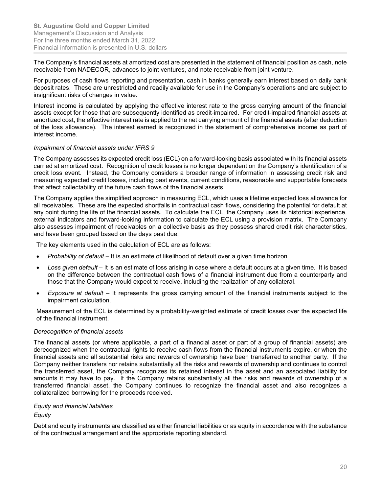The Company's financial assets at amortized cost are presented in the statement of financial position as cash, note receivable from NADECOR, advances to joint ventures, and note receivable from joint venture.

For purposes of cash flows reporting and presentation, cash in banks generally earn interest based on daily bank deposit rates. These are unrestricted and readily available for use in the Company's operations and are subject to insignificant risks of changes in value.

Interest income is calculated by applying the effective interest rate to the gross carrying amount of the financial assets except for those that are subsequently identified as credit-impaired. For credit-impaired financial assets at amortized cost, the effective interest rate is applied to the net carrying amount of the financial assets (after deduction of the loss allowance). The interest earned is recognized in the statement of comprehensive income as part of interest income.

#### Impairment of financial assets under IFRS 9

The Company assesses its expected credit loss (ECL) on a forward-looking basis associated with its financial assets carried at amortized cost. Recognition of credit losses is no longer dependent on the Company's identification of a credit loss event. Instead, the Company considers a broader range of information in assessing credit risk and measuring expected credit losses, including past events, current conditions, reasonable and supportable forecasts that affect collectability of the future cash flows of the financial assets.

The Company applies the simplified approach in measuring ECL, which uses a lifetime expected loss allowance for all receivables. These are the expected shortfalls in contractual cash flows, considering the potential for default at any point during the life of the financial assets. To calculate the ECL, the Company uses its historical experience, external indicators and forward-looking information to calculate the ECL using a provision matrix. The Company also assesses impairment of receivables on a collective basis as they possess shared credit risk characteristics, and have been grouped based on the days past due.

The key elements used in the calculation of ECL are as follows:

- Probability of default It is an estimate of likelihood of default over a given time horizon.
- Loss given default It is an estimate of loss arising in case where a default occurs at a given time. It is based on the difference between the contractual cash flows of a financial instrument due from a counterparty and those that the Company would expect to receive, including the realization of any collateral.
- Exposure at default It represents the gross carrying amount of the financial instruments subject to the impairment calculation.

Measurement of the ECL is determined by a probability-weighted estimate of credit losses over the expected life of the financial instrument.

#### Derecognition of financial assets

The financial assets (or where applicable, a part of a financial asset or part of a group of financial assets) are derecognized when the contractual rights to receive cash flows from the financial instruments expire, or when the financial assets and all substantial risks and rewards of ownership have been transferred to another party. If the Company neither transfers nor retains substantially all the risks and rewards of ownership and continues to control the transferred asset, the Company recognizes its retained interest in the asset and an associated liability for amounts it may have to pay. If the Company retains substantially all the risks and rewards of ownership of a transferred financial asset, the Company continues to recognize the financial asset and also recognizes a collateralized borrowing for the proceeds received.

#### Equity and financial liabilities

Equity

Debt and equity instruments are classified as either financial liabilities or as equity in accordance with the substance of the contractual arrangement and the appropriate reporting standard.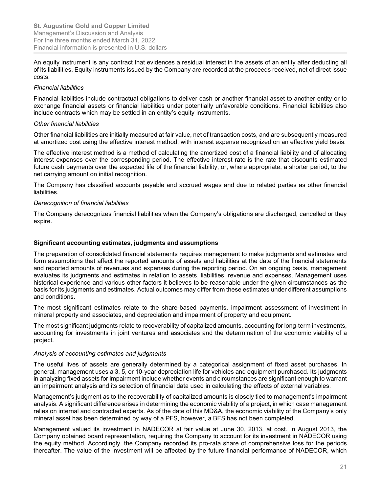An equity instrument is any contract that evidences a residual interest in the assets of an entity after deducting all of its liabilities. Equity instruments issued by the Company are recorded at the proceeds received, net of direct issue costs.

#### Financial liabilities

Financial liabilities include contractual obligations to deliver cash or another financial asset to another entity or to exchange financial assets or financial liabilities under potentially unfavorable conditions. Financial liabilities also include contracts which may be settled in an entity's equity instruments.

#### Other financial liabilities

Other financial liabilities are initially measured at fair value, net of transaction costs, and are subsequently measured at amortized cost using the effective interest method, with interest expense recognized on an effective yield basis.

The effective interest method is a method of calculating the amortized cost of a financial liability and of allocating interest expenses over the corresponding period. The effective interest rate is the rate that discounts estimated future cash payments over the expected life of the financial liability, or, where appropriate, a shorter period, to the net carrying amount on initial recognition.

The Company has classified accounts payable and accrued wages and due to related parties as other financial liabilities.

#### Derecognition of financial liabilities

The Company derecognizes financial liabilities when the Company's obligations are discharged, cancelled or they expire.

#### Significant accounting estimates, judgments and assumptions

The preparation of consolidated financial statements requires management to make judgments and estimates and form assumptions that affect the reported amounts of assets and liabilities at the date of the financial statements and reported amounts of revenues and expenses during the reporting period. On an ongoing basis, management evaluates its judgments and estimates in relation to assets, liabilities, revenue and expenses. Management uses historical experience and various other factors it believes to be reasonable under the given circumstances as the basis for its judgments and estimates. Actual outcomes may differ from these estimates under different assumptions and conditions.

The most significant estimates relate to the share-based payments, impairment assessment of investment in mineral property and associates, and depreciation and impairment of property and equipment.

The most significant judgments relate to recoverability of capitalized amounts, accounting for long-term investments, accounting for investments in joint ventures and associates and the determination of the economic viability of a project.

#### Analysis of accounting estimates and judgments

The useful lives of assets are generally determined by a categorical assignment of fixed asset purchases. In general, management uses a 3, 5, or 10-year depreciation life for vehicles and equipment purchased. Its judgments in analyzing fixed assets for impairment include whether events and circumstances are significant enough to warrant an impairment analysis and its selection of financial data used in calculating the effects of external variables.

Management's judgment as to the recoverability of capitalized amounts is closely tied to management's impairment analysis. A significant difference arises in determining the economic viability of a project, in which case management relies on internal and contracted experts. As of the date of this MD&A, the economic viability of the Company's only mineral asset has been determined by way of a PFS, however, a BFS has not been completed.

Management valued its investment in NADECOR at fair value at June 30, 2013, at cost. In August 2013, the Company obtained board representation, requiring the Company to account for its investment in NADECOR using the equity method. Accordingly, the Company recorded its pro-rata share of comprehensive loss for the periods thereafter. The value of the investment will be affected by the future financial performance of NADECOR, which